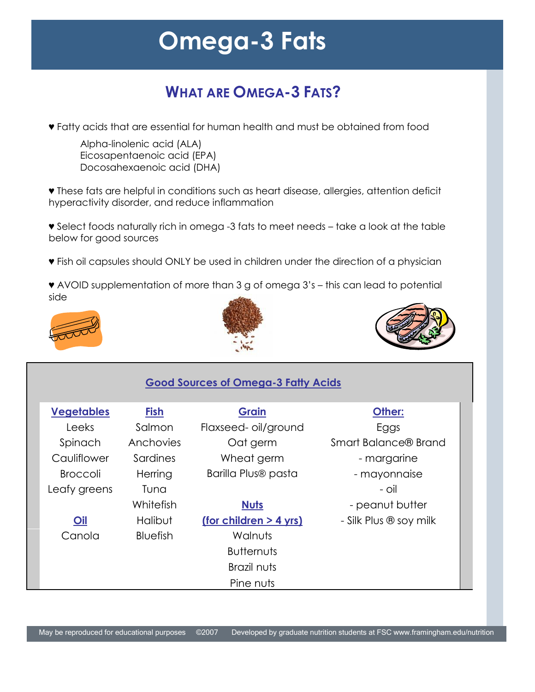# **Omega-3 Fats**

# **WHAT ARE OMEGA-3 FATS?**

♥ Fatty acids that are essential for human health and must be obtained from food

Alpha-linolenic acid (ALA) Eicosapentaenoic acid (EPA) Docosahexaenoic acid (DHA)

♥ These fats are helpful in conditions such as heart disease, allergies, attention deficit hyperactivity disorder, and reduce inflammation

♥ Select foods naturally rich in omega -3 fats to meet needs – take a look at the table below for good sources

♥ Fish oil capsules should ONLY be used in children under the direction of a physician

♥ AVOID supplementation of more than 3 g of omega 3's – this can lead to potential side







#### **Good Sources of Omega-3 Fatty Acids**

| <b>Vegetables</b> | <b>Fish</b>     | <b>Grain</b>           | Other:                 |
|-------------------|-----------------|------------------------|------------------------|
| Leeks             | Salmon          | Flaxseed- oil/ground   | Eggs                   |
| Spinach           | Anchovies       | Oat germ               | Smart Balance® Brand   |
| Cauliflower       | Sardines        | Wheat germ             | - margarine            |
| <b>Broccoli</b>   | Herring         | Barilla Plus® pasta    | - mayonnaise           |
| Leafy greens      | Tuna            |                        | - oil                  |
|                   | Whitefish       | <b>Nuts</b>            | - peanut butter        |
| Oil               | <b>Halibut</b>  | (for children > 4 yrs) | - Silk Plus ® soy milk |
| Canola            | <b>Bluefish</b> | Walnuts                |                        |
|                   |                 | <b>Butternuts</b>      |                        |
|                   |                 | Brazil nuts            |                        |
|                   |                 | Pine nuts              |                        |